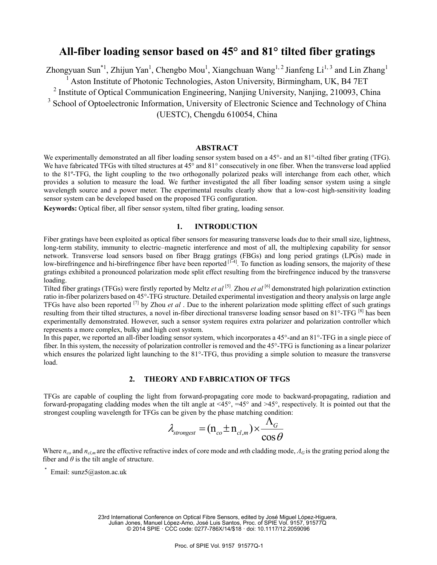# **All-fiber loading sensor based on 45° and 81° tilted fiber gratings**

Zhongyuan Sun<sup>\*1</sup>, Zhijun Yan<sup>1</sup>, Chengbo Mou<sup>1</sup>, Xiangchuan Wang<sup>1, 2</sup> Jianfeng Li<sup>1, 3</sup> and Lin Zhang<sup>1</sup> <sup>1</sup> Aston Institute of Photonic Technologies, Aston University, Birmingham, UK, B4 7ET <sup>2</sup> Institute of Optical Communication Engineering, Nanjing University, Nanjing, 210093, China <sup>3</sup> School of Optoelectronic Information, University of Electronic Science and Technology of China (UESTC), Chengdu 610054, China

**ABSTRACT** 

We experimentally demonstrated an all fiber loading sensor system based on a 45°- and an 81°-tilted fiber grating (TFG). We have fabricated TFGs with tilted structures at 45° and 81° consecutively in one fiber. When the transverse load applied to the 81º-TFG, the light coupling to the two orthogonally polarized peaks will interchange from each other, which provides a solution to measure the load. We further investigated the all fiber loading sensor system using a single wavelength source and a power meter. The experimental results clearly show that a low-cost high-sensitivity loading sensor system can be developed based on the proposed TFG configuration.

**Keywords:** Optical fiber, all fiber sensor system, tilted fiber grating, loading sensor.

# **1. INTRODUCTION**

Fiber gratings have been exploited as optical fiber sensors for measuring transverse loads due to their small size, lightness, long-term stability, immunity to electric–magnetic interference and most of all, the multiplexing capability for sensor network. Transverse load sensors based on fiber Bragg gratings (FBGs) and long period gratings (LPGs) made in low-birefringence and hi-birefringence fiber have been reported  $[1-4]$ . To function as loading sensors, the majority of these gratings exhibited a pronounced polarization mode split effect resulting from the birefringence induced by the transverse loading.

Tilted fiber gratings (TFGs) were firstly reported by Meltz *et al* [5]*.* Zhou *et al* [6] demonstrated high polarization extinction ratio in-fiber polarizers based on 45°-TFG structure. Detailed experimental investigation and theory analysis on large angle TFGs have also been reported [7] by Zhou *et al* . Due to the inherent polarization mode splitting effect of such gratings resulting from their tilted structures, a novel in-fiber directional transverse loading sensor based on  $81^{\circ}$ -TFG  $^{[8]}$  has been experimentally demonstrated. However, such a sensor system requires extra polarizer and polarization controller which represents a more complex, bulky and high cost system.

In this paper, we reported an all-fiber loading sensor system, which incorporates a 45°-and an 81°-TFG in a single piece of fiber. In this system, the necessity of polarization controller is removed and the 45°-TFG is functioning as a linear polarizer which ensures the polarized light launching to the 81°-TFG, thus providing a simple solution to measure the transverse load.

# **2. THEORY AND FABRICATION OF TFGS**

TFGs are capable of coupling the light from forward-propagating core mode to backward-propagating, radiation and forward-propagating cladding modes when the tilt angle at  $\leq 45^{\circ}$ ,  $=45^{\circ}$  and  $>45^{\circ}$ , respectively. It is pointed out that the strongest coupling wavelength for TFGs can be given by the phase matching condition:

$$
\lambda_{\text{strongest}} = (n_{co} \pm n_{cl,m}) \times \frac{\Lambda_{G}}{\cos \theta}
$$

Where *n<sub>co</sub>* and *n<sub>cl,m</sub>* are the effective refractive index of core mode and *m*th cladding mode,  $\Lambda$ *G* is the grating period along the fiber and  $\theta$  is the tilt angle of structure.

 $*$  Email: sunz5@aston.ac.uk

23rd International Conference on Optical Fibre Sensors, edited by José Miguel López-Higuera, Julian Jones, Manuel López-Amo, José Luis Santos, Proc. of SPIE Vol. 9157, 91577Q © 2014 SPIE · CCC code: 0277-786X/14/\$18 · doi: 10.1117/12.2059096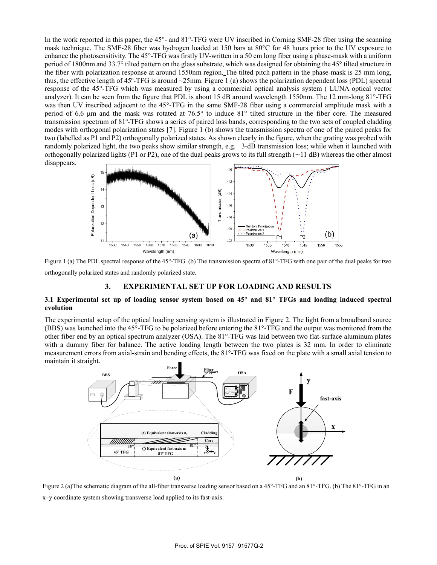In the work reported in this paper, the 45<sup>o</sup>- and 81<sup>o</sup>-TFG were UV inscribed in Corning SMF-28 fiber using the scanning mask technique. The SMF-28 fiber was hydrogen loaded at 150 bars at 80°C for 48 hours prior to the UV exposure to enhance the photosensitivity. The 45°-TFG was firstly UV-written in a 50 cm long fiber using a phase-mask with a uniform period of 1800nm and 33.7° tilted pattern on the glass substrate, which was designed for obtaining the 45° tilted structure in the fiber with polarization response at around 1550nm region. The tilted pitch pattern in the phase-mask is 25 mm long, thus, the effective length of  $45^{\circ}$ -TFG is around  $\sim$ 25mm. Figure 1 (a) shows the polarization dependent loss (PDL) spectral response of the 45°-TFG which was measured by using a commercial optical analysis system ( LUNA optical vector analyzer). It can be seen from the figure that PDL is about 15 dB around wavelength 1550nm. The 12 mm-long 81°-TFG was then UV inscribed adjacent to the 45°-TFG in the same SMF-28 fiber using a commercial amplitude mask with a period of 6.6 μm and the mask was rotated at 76.5° to induce 81° tilted structure in the fiber core. The measured transmission spectrum of 81º-TFG shows a series of paired loss bands, corresponding to the two sets of coupled cladding modes with orthogonal polarization states [7]. Figure 1 (b) shows the transmission spectra of one of the paired peaks for two (labelled as P1 and P2) orthogonally polarized states. As shown clearly in the figure, when the grating was probed with randomly polarized light, the two peaks show similar strength, e.g. 3-dB transmission loss; while when it launched with orthogonally polarized lights (P1 or P2), one of the dual peaks grows to its full strength (∼11 dB) whereas the other almost disappears.



Figure 1 (a) The PDL spectral response of the 45°-TFG. (b) The transmission spectra of 81°-TFG with one pair of the dual peaks for two orthogonally polarized states and randomly polarized state.

## **3. EXPERIMENTAL SET UP FOR LOADING AND RESULTS**

### **3.1 Experimental set up of loading sensor system based on 45° and 81° TFGs and loading induced spectral evolution**

The experimental setup of the optical loading sensing system is illustrated in Figure 2. The light from a broadband source (BBS) was launched into the 45°-TFG to be polarized before entering the 81°-TFG and the output was monitored from the other fiber end by an optical spectrum analyzer (OSA). The 81°-TFG was laid between two flat-surface aluminum plates with a dummy fiber for balance. The active loading length between the two plates is 32 mm. In order to eliminate measurement errors from axial-strain and bending effects, the 81°-TFG was fixed on the plate with a small axial tension to maintain it straight.



Figure 2 (a)The schematic diagram of the all-fiber transverse loading sensor based on a 45°-TFG and an 81°-TFG. (b) The 81°-TFG in an x–y coordinate system showing transverse load applied to its fast-axis.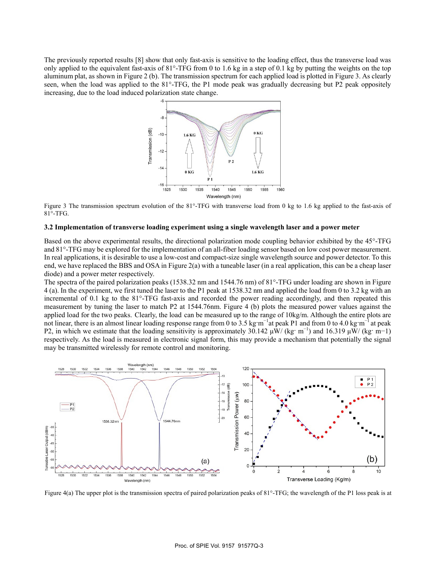The previously reported results [8] show that only fast-axis is sensitive to the loading effect, thus the transverse load was only applied to the equivalent fast-axis of  $81^\circ$ -TFG from 0 to 1.6 kg in a step of 0.1 kg by putting the weights on the top aluminum plat, as shown in Figure 2 (b). The transmission spectrum for each applied load is plotted in Figure 3. As clearly seen, when the load was applied to the 81°-TFG, the P1 mode peak was gradually decreasing but P2 peak oppositely increasing, due to the load induced polarization state change.



Figure 3 The transmission spectrum evolution of the 81°-TFG with transverse load from 0 kg to 1.6 kg applied to the fast-axis of  $81^\circ$ -TFG.

#### 3.2 Implementation of transverse loading experiment using a single wavelength laser and a power meter

Based on the above experimental results, the directional polarization mode coupling behavior exhibited by the 45°-TFG and 81°-TFG may be explored for the implementation of an all-fiber loading sensor based on low cost power measurement. In real applications, it is desirable to use a low-cost and compact-size single wavelength source and power detector. To this end, we have replaced the BBS and OSA in Figure  $2(a)$  with a tuneable laser (in a real application, this can be a cheap laser diode) and a power meter respectively.

The spectra of the paired polarization peaks (1538.32 nm and 1544.76 nm) of 81°-TFG under loading are shown in Figure 4 (a). In the experiment, we first tuned the laser to the P1 peak at 1538.32 nm and applied the load from 0 to 3.2 kg with an incremental of 0.1 kg to the 81°-TFG fast-axis and recorded the power reading accordingly, and then repeated this measurement by tuning the laser to match P2 at 1544.76nm. Figure 4 (b) plots the measured power values against the applied load for the two peaks. Clearly, the load can be measured up to the range of 10kg/m. Although the entire plots are not linear, there is an almost linear loading response range from 0 to 3.5 kg·m<sup>-1</sup> at peak P1 and from 0 to 4.0 kg·m<sup>-1</sup> at peak P2, in which we estimate that the loading sensitivity is approximately 30.142  $\mu$ W/ (kg· m<sup>-1</sup>) and 16.319  $\mu$ W/ (kg· m-1) respectively. As the load is measured in electronic signal form, this may provide a mechanism that potentially the signal may be transmitted wirelessly for remote control and monitoring.



Figure 4(a) The upper plot is the transmission spectra of paired polarization peaks of  $81^{\circ}$ -TFG; the wavelength of the P1 loss peak is at